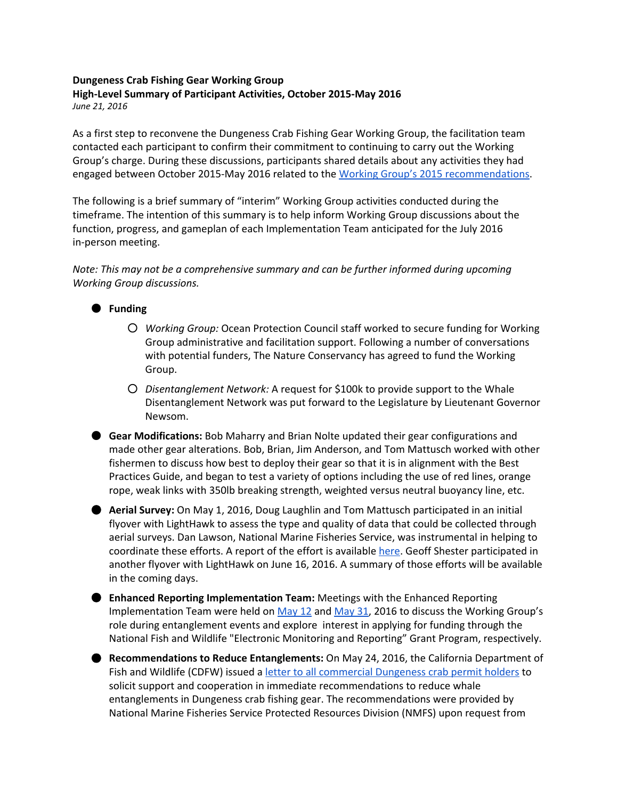## **Dungeness Crab Fishing Gear Working Group High-Level Summary of Participant Activities, October 2015-May 2016** *June 21, 2016*

As a first step to reconvene the Dungeness Crab Fishing Gear Working Group, the facilitation team contacted each participant to confirm their commitment to continuing to carry out the Working Group's charge. During these discussions, participants shared details about any activities they had engaged between October 2015-May 2016 related to the [Working Group's 2015 recommendations.](http://www.opc.ca.gov/webmaster/_media_library/2015/08/CAWhaleEntanglement__Dcrab_Oct8_KeyThemesSummary_FINAL.pdf)

The following is a brief summary of "interim" Working Group activities conducted during the timeframe. The intention of this summary is to help inform Working Group discussions about the function, progress, and gameplan of each Implementation Team anticipated for the July 2016 in-person meeting.

*Note: This may not be a comprehensive summary and can be further informed during upcoming Working Group discussions.*

## ● **Funding**

- *Working Group:* Ocean Protection Council staff worked to secure funding for Working Group administrative and facilitation support. Following a number of conversations with potential funders, The Nature Conservancy has agreed to fund the Working Group.
- *Disentanglement Network:* A request for \$100k to provide support to the Whale Disentanglement Network was put forward to the Legislature by Lieutenant Governor Newsom.
- **Gear Modifications:** Bob Maharry and Brian Nolte updated their gear configurations and made other gear alterations. Bob, Brian, Jim Anderson, and Tom Mattusch worked with other fishermen to discuss how best to deploy their gear so that it is in alignment with the Best Practices Guide, and began to test a variety of options including the use of red lines, orange rope, weak links with 350lb breaking strength, weighted versus neutral buoyancy line, etc.

● **Aerial Survey:** On May 1, 2016, Doug Laughlin and Tom Mattusch participated in an initial flyover with LightHawk to assess the type and quality of data that could be collected through aerial surveys. Dan Lawson, National Marine Fisheries Service, was instrumental in helping to coordinate these efforts. A report of the effort is available [here.](https://drive.google.com/open?id=0B6-V3xUQO_ivUUFON1FhbzhZTDVlYmRjR1hTWk1yX19PalBn) Geoff Shester participated in another flyover with LightHawk on June 16, 2016. A summary of those efforts will be available in the coming days.

- **Enhanced Reporting Implementation Team:** Meetings with the Enhanced Reporting Implementation Team were held on [May 12](https://drive.google.com/open?id=11d7gIliCF8IRw-iJXIOnGWWEhzFhxg5rEOaqXlDQxIk) and [May 31,](https://docs.google.com/document/d/1hi5H7S8XlB5E86DJvmDTWLkN-RVx0naDJRbDL3Rb4PY/edit?usp=sharing) 2016 to discuss the Working Group's role during entanglement events and explore interest in applying for funding through the National Fish and Wildlife "Electronic Monitoring and Reporting" Grant Program, respectively.
- **Recommendations to Reduce Entanglements:** On May 24, 2016, the California Department of Fish and Wildlife (CDFW) issued a [letter to all commercial Dungeness crab permit holders](https://nrm.dfg.ca.gov/FileHandler.ashx?DocumentID=123822&inline&mc_cid=1b855c7e01&mc_eid=d5fb3963e6) to solicit support and cooperation in immediate recommendations to reduce whale entanglements in Dungeness crab fishing gear. The recommendations were provided by National Marine Fisheries Service Protected Resources Division (NMFS) upon request from